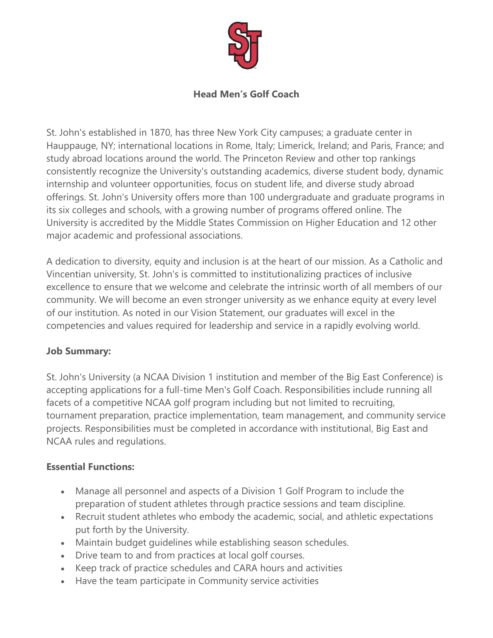

## **Head Men's Golf Coach**

St. John's established in 1870, has three New York City campuses; a graduate center in Hauppauge, NY; international locations in Rome, Italy; Limerick, Ireland; and Paris, France; and study abroad locations around the world. The Princeton Review and other top rankings consistently recognize the University's outstanding academics, diverse student body, dynamic internship and volunteer opportunities, focus on student life, and diverse study abroad offerings. St. John's University offers more than 100 undergraduate and graduate programs in its six colleges and schools, with a growing number of programs offered online. The University is accredited by the Middle States Commission on Higher Education and 12 other major academic and professional associations.

A dedication to diversity, equity and inclusion is at the heart of our mission. As a Catholic and Vincentian university, St. John's is committed to institutionalizing practices of inclusive excellence to ensure that we welcome and celebrate the intrinsic worth of all members of our community. We will become an even stronger university as we enhance equity at every level of our institution. As noted in our Vision Statement, our graduates will excel in the competencies and values required for leadership and service in a rapidly evolving world.

# **Job Summary:**

St. John's University (a NCAA Division 1 institution and member of the Big East Conference) is accepting applications for a full-time Men's Golf Coach. Responsibilities include running all facets of a competitive NCAA golf program including but not limited to recruiting, tournament preparation, practice implementation, team management, and community service projects. Responsibilities must be completed in accordance with institutional, Big East and NCAA rules and regulations.

# **Essential Functions:**

- Manage all personnel and aspects of a Division 1 Golf Program to include the preparation of student athletes through practice sessions and team discipline.
- Recruit student athletes who embody the academic, social, and athletic expectations put forth by the University.
- Maintain budget guidelines while establishing season schedules.
- Drive team to and from practices at local golf courses.
- Keep track of practice schedules and CARA hours and activities
- Have the team participate in Community service activities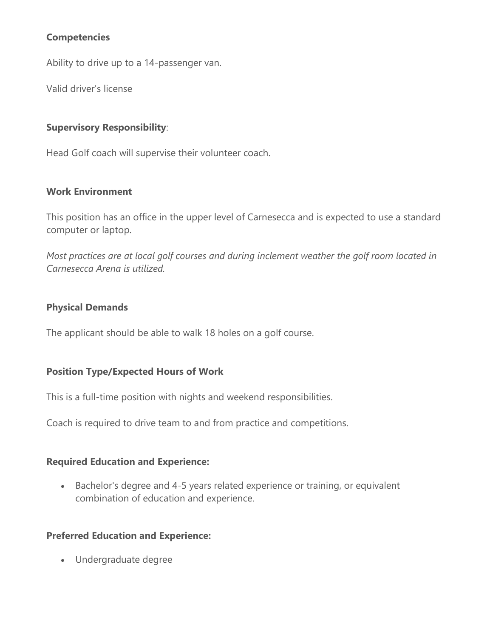### **Competencies**

Ability to drive up to a 14-passenger van.

Valid driver's license

### **Supervisory Responsibility**:

Head Golf coach will supervise their volunteer coach.

#### **Work Environment**

This position has an office in the upper level of Carnesecca and is expected to use a standard computer or laptop.

*Most practices are at local golf courses and during inclement weather the golf room located in Carnesecca Arena is utilized.*

#### **Physical Demands**

The applicant should be able to walk 18 holes on a golf course.

#### **Position Type/Expected Hours of Work**

This is a full-time position with nights and weekend responsibilities.

Coach is required to drive team to and from practice and competitions.

#### **Required Education and Experience:**

 Bachelor's degree and 4-5 years related experience or training, or equivalent combination of education and experience.

#### **Preferred Education and Experience:**

Undergraduate degree